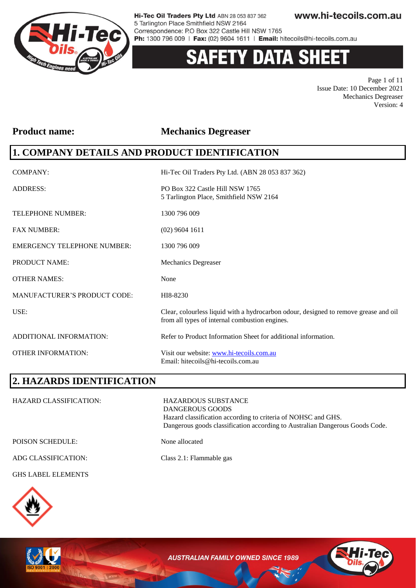

# **Y DATA SHEE**

Page 1 of 11 Issue Date: 10 December 2021 Mechanics Degreaser Version: 4

#### **Product name: Mechanics Degreaser**

### **1. COMPANY DETAILS AND PRODUCT IDENTIFICATION**

| <b>COMPANY:</b>                     | Hi-Tec Oil Traders Pty Ltd. (ABN 28 053 837 362)                                                                                       |
|-------------------------------------|----------------------------------------------------------------------------------------------------------------------------------------|
| <b>ADDRESS:</b>                     | PO Box 322 Castle Hill NSW 1765<br>5 Tarlington Place, Smithfield NSW 2164                                                             |
| TELEPHONE NUMBER:                   | 1300 796 009                                                                                                                           |
| <b>FAX NUMBER:</b>                  | $(02)$ 9604 1611                                                                                                                       |
| <b>EMERGENCY TELEPHONE NUMBER:</b>  | 1300 796 009                                                                                                                           |
| PRODUCT NAME:                       | <b>Mechanics Degreaser</b>                                                                                                             |
| <b>OTHER NAMES:</b>                 | None                                                                                                                                   |
| <b>MANUFACTURER'S PRODUCT CODE:</b> | HI8-8230                                                                                                                               |
| USE:                                | Clear, colourless liquid with a hydrocarbon odour, designed to remove grease and oil<br>from all types of internal combustion engines. |
| ADDITIONAL INFORMATION:             | Refer to Product Information Sheet for additional information.                                                                         |
| <b>OTHER INFORMATION:</b>           | Visit our website: www.hi-tecoils.com.au<br>Email: hitecoils@hi-tecoils.com.au                                                         |

### **2. HAZARDS IDENTIFICATION**

| <b>HAZARD CLASSIFICATION:</b> | <b>HAZARDOUS SUBSTANCE</b><br>DANGEROUS GOODS<br>Hazard classification according to criteria of NOHSC and GHS.<br>Dangerous goods classification according to Australian Dangerous Goods Code. |
|-------------------------------|------------------------------------------------------------------------------------------------------------------------------------------------------------------------------------------------|
| <b>POISON SCHEDULE:</b>       | None allocated                                                                                                                                                                                 |
| ADG CLASSIFICATION:           | Class 2.1: Flammable gas                                                                                                                                                                       |

#### GHS LABEL ELEMENTS



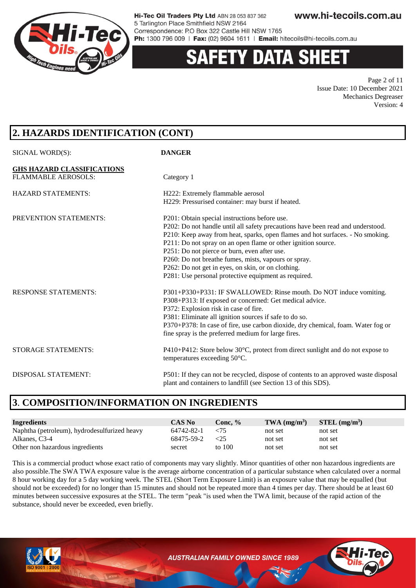

# **DATA SH**

Page 2 of 11 Issue Date: 10 December 2021 Mechanics Degreaser Version: 4

### **2. HAZARDS IDENTIFICATION (CONT)**

| SIGNAL WORD(S):                   | <b>DANGER</b>                                                                        |
|-----------------------------------|--------------------------------------------------------------------------------------|
| <b>GHS HAZARD CLASSIFICATIONS</b> |                                                                                      |
| <b>FLAMMABLE AEROSOLS:</b>        | Category 1                                                                           |
| <b>HAZARD STATEMENTS:</b>         | H222: Extremely flammable aerosol                                                    |
|                                   | H229: Pressurised container: may burst if heated.                                    |
| PREVENTION STATEMENTS:            | P201: Obtain special instructions before use.                                        |
|                                   | P202: Do not handle until all safety precautions have been read and understood.      |
|                                   | P210: Keep away from heat, sparks, open flames and hot surfaces. - No smoking.       |
|                                   | P211: Do not spray on an open flame or other ignition source.                        |
|                                   | P251: Do not pierce or burn, even after use.                                         |
|                                   | P260: Do not breathe fumes, mists, vapours or spray.                                 |
|                                   | P262: Do not get in eyes, on skin, or on clothing.                                   |
|                                   | P281: Use personal protective equipment as required.                                 |
| <b>RESPONSE STATEMENTS:</b>       | P301+P330+P331: IF SWALLOWED: Rinse mouth. Do NOT induce vomiting.                   |
|                                   | P308+P313: If exposed or concerned: Get medical advice.                              |
|                                   | P372: Explosion risk in case of fire.                                                |
|                                   | P381: Eliminate all ignition sources if safe to do so.                               |
|                                   | P370+P378: In case of fire, use carbon dioxide, dry chemical, foam. Water fog or     |
|                                   | fine spray is the preferred medium for large fires.                                  |
| STORAGE STATEMENTS:               | P410+P412: Store below 30°C, protect from direct sunlight and do not expose to       |
|                                   | temperatures exceeding 50°C.                                                         |
| <b>DISPOSAL STATEMENT:</b>        | P501: If they can not be recycled, dispose of contents to an approved waste disposal |
|                                   | plant and containers to landfill (see Section 13 of this SDS).                       |
|                                   |                                                                                      |

### **3**. **COMPOSITION/INFORMATION ON INGREDIENTS**

| <b>Ingredients</b>                           | <b>CAS No</b> | Conc. $%$ | $TWA$ (mg/m <sup>3</sup> ) | $STEL$ (mg/m <sup>3</sup> ) |
|----------------------------------------------|---------------|-----------|----------------------------|-----------------------------|
| Naphtha (petroleum), hydrodesulfurized heavy | 64742-82-1    | ${<}75$   | not set                    | not set                     |
| Alkanes, C3-4                                | 68475-59-2    | ${<}25$   | not set                    | not set                     |
| Other non hazardous ingredients              | secret        | to 100    | not set                    | not set                     |

This is a commercial product whose exact ratio of components may vary slightly. Minor quantities of other non hazardous ingredients are also possible.The SWA TWA exposure value is the average airborne concentration of a particular substance when calculated over a normal 8 hour working day for a 5 day working week. The STEL (Short Term Exposure Limit) is an exposure value that may be equalled (but should not be exceeded) for no longer than 15 minutes and should not be repeated more than 4 times per day. There should be at least 60 minutes between successive exposures at the STEL. The term "peak "is used when the TWA limit, because of the rapid action of the substance, should never be exceeded, even briefly.



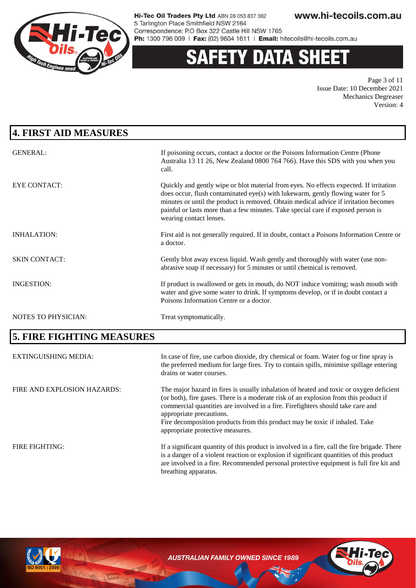

# **Y DATA SHEE**

Page 3 of 11 Issue Date: 10 December 2021 Mechanics Degreaser Version: 4

| 4. FIRST AID MEASURES       |                                                                                                                                                                                                                                                                                                                                                                                                                   |
|-----------------------------|-------------------------------------------------------------------------------------------------------------------------------------------------------------------------------------------------------------------------------------------------------------------------------------------------------------------------------------------------------------------------------------------------------------------|
| <b>GENERAL:</b>             | If poisoning occurs, contact a doctor or the Poisons Information Centre (Phone<br>Australia 13 11 26, New Zealand 0800 764 766). Have this SDS with you when you<br>call.                                                                                                                                                                                                                                         |
| <b>EYE CONTACT:</b>         | Quickly and gently wipe or blot material from eyes. No effects expected. If irritation<br>does occur, flush contaminated eye(s) with lukewarm, gently flowing water for 5<br>minutes or until the product is removed. Obtain medical advice if irritation becomes<br>painful or lasts more than a few minutes. Take special care if exposed person is<br>wearing contact lenses.                                  |
| <b>INHALATION:</b>          | First aid is not generally required. If in doubt, contact a Poisons Information Centre or<br>a doctor.                                                                                                                                                                                                                                                                                                            |
| <b>SKIN CONTACT:</b>        | Gently blot away excess liquid. Wash gently and thoroughly with water (use non-<br>abrasive soap if necessary) for 5 minutes or until chemical is removed.                                                                                                                                                                                                                                                        |
| <b>INGESTION:</b>           | If product is swallowed or gets in mouth, do NOT induce vomiting; wash mouth with<br>water and give some water to drink. If symptoms develop, or if in doubt contact a<br>Poisons Information Centre or a doctor.                                                                                                                                                                                                 |
| NOTES TO PHYSICIAN:         | Treat symptomatically.                                                                                                                                                                                                                                                                                                                                                                                            |
| 5. FIRE FIGHTING MEASURES   |                                                                                                                                                                                                                                                                                                                                                                                                                   |
| <b>EXTINGUISHING MEDIA:</b> | In case of fire, use carbon dioxide, dry chemical or foam. Water fog or fine spray is<br>the preferred medium for large fires. Try to contain spills, minimise spillage entering<br>drains or water courses.                                                                                                                                                                                                      |
| FIRE AND EXPLOSION HAZARDS: | The major hazard in fires is usually inhalation of heated and toxic or oxygen deficient<br>(or both), fire gases. There is a moderate risk of an explosion from this product if<br>commercial quantities are involved in a fire. Firefighters should take care and<br>appropriate precautions.<br>Fire decomposition products from this product may be toxic if inhaled. Take<br>appropriate protective measures. |
| FIRE FIGHTING:              | If a significant quantity of this product is involved in a fire, call the fire brigade. There                                                                                                                                                                                                                                                                                                                     |

breathing apparatus.



**AUSTRALIAN FAMILY OWNED SINCE 1989** 

is a danger of a violent reaction or explosion if significant quantities of this product are involved in a fire. Recommended personal protective equipment is full fire kit and

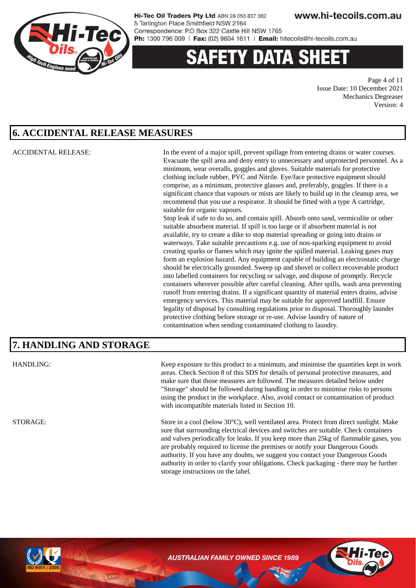

# 'Y DATA SH

Page 4 of 11 Issue Date: 10 December 2021 Mechanics Degreaser Version: 4

#### **6. ACCIDENTAL RELEASE MEASURES**

ACCIDENTAL RELEASE: In the event of a major spill, prevent spillage from entering drains or water courses. Evacuate the spill area and deny entry to unnecessary and unprotected personnel. As a minimum, wear overalls, goggles and gloves. Suitable materials for protective clothing include rubber, PVC and Nitrile. Eye/face protective equipment should comprise, as a minimum, protective glasses and, preferably, goggles. If there is a significant chance that vapours or mists are likely to build up in the cleanup area, we recommend that you use a respirator. It should be fitted with a type A cartridge, suitable for organic vapours.

> Stop leak if safe to do so, and contain spill. Absorb onto sand, vermiculite or other suitable absorbent material. If spill is too large or if absorbent material is not available, try to create a dike to stop material spreading or going into drains or waterways. Take suitable precautions e.g. use of non-sparking equipment to avoid creating sparks or flames which may ignite the spilled material. Leaking gases may form an explosion hazard. Any equipment capable of building an electrostatic charge should be electrically grounded. Sweep up and shovel or collect recoverable product into labelled containers for recycling or salvage, and dispose of promptly. Recycle containers wherever possible after careful cleaning. After spills, wash area preventing runoff from entering drains. If a significant quantity of material enters drains, advise emergency services. This material may be suitable for approved landfill. Ensure legality of disposal by consulting regulations prior to disposal. Thoroughly launder protective clothing before storage or re-use. Advise laundry of nature of contamination when sending contaminated clothing to laundry.

#### **7. HANDLING AND STORAGE**

HANDLING: Keep exposure to this product to a minimum, and minimise the quantities kept in work areas. Check Section 8 of this SDS for details of personal protective measures, and make sure that those measures are followed. The measures detailed below under "Storage" should be followed during handling in order to minimise risks to persons using the product in the workplace. Also, avoid contact or contamination of product with incompatible materials listed in Section 10.

STORAGE: Store in a cool (below 30°C), well ventilated area. Protect from direct sunlight. Make sure that surrounding electrical devices and switches are suitable. Check containers and valves periodically for leaks. If you keep more than 25kg of flammable gases, you are probably required to license the premises or notify your Dangerous Goods authority. If you have any doubts, we suggest you contact your Dangerous Goods authority in order to clarify your obligations. Check packaging - there may be further storage instructions on the label.



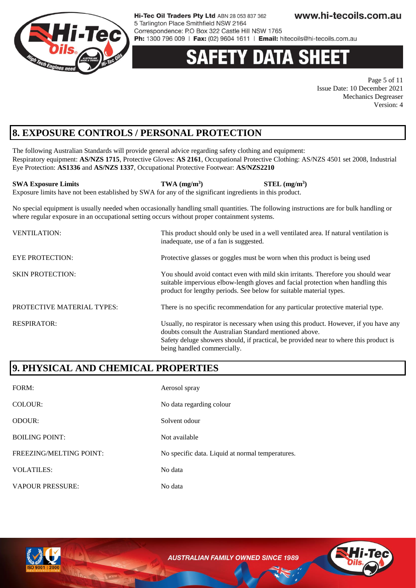

# **DATA SH**

Page 5 of 11 Issue Date: 10 December 2021 Mechanics Degreaser Version: 4

### **8. EXPOSURE CONTROLS / PERSONAL PROTECTION**

The following Australian Standards will provide general advice regarding safety clothing and equipment: Respiratory equipment: **AS/NZS 1715**, Protective Gloves: **AS 2161**, Occupational Protective Clothing: AS/NZS 4501 set 2008, Industrial Eye Protection: **AS1336** and **AS/NZS 1337**, Occupational Protective Footwear: **AS/NZS2210**

**SWA Exposure Limits TWA (mg/m<sup>3</sup> ) STEL (mg/m<sup>3</sup> )** Exposure limits have not been established by SWA for any of the significant ingredients in this product.

No special equipment is usually needed when occasionally handling small quantities. The following instructions are for bulk handling or where regular exposure in an occupational setting occurs without proper containment systems.

| <b>VENTILATION:</b>        | This product should only be used in a well ventilated area. If natural ventilation is<br>inadequate, use of a fan is suggested.                                                                                                                                          |
|----------------------------|--------------------------------------------------------------------------------------------------------------------------------------------------------------------------------------------------------------------------------------------------------------------------|
| <b>EYE PROTECTION:</b>     | Protective glasses or goggles must be worn when this product is being used                                                                                                                                                                                               |
| <b>SKIN PROTECTION:</b>    | You should avoid contact even with mild skin irritants. Therefore you should wear<br>suitable impervious elbow-length gloves and facial protection when handling this<br>product for lengthy periods. See below for suitable material types.                             |
| PROTECTIVE MATERIAL TYPES: | There is no specific recommendation for any particular protective material type.                                                                                                                                                                                         |
| <b>RESPIRATOR:</b>         | Usually, no respirator is necessary when using this product. However, if you have any<br>doubts consult the Australian Standard mentioned above.<br>Safety deluge showers should, if practical, be provided near to where this product is<br>being handled commercially. |

### **9. PHYSICAL AND CHEMICAL PROPERTIES**

| FORM:                          | Aerosol spray                                    |
|--------------------------------|--------------------------------------------------|
| COLOUR:                        | No data regarding colour                         |
| <b>ODOUR:</b>                  | Solvent odour                                    |
| <b>BOILING POINT:</b>          | Not available                                    |
| <b>FREEZING/MELTING POINT:</b> | No specific data. Liquid at normal temperatures. |
| <b>VOLATILES:</b>              | No data                                          |
| <b>VAPOUR PRESSURE:</b>        | No data                                          |



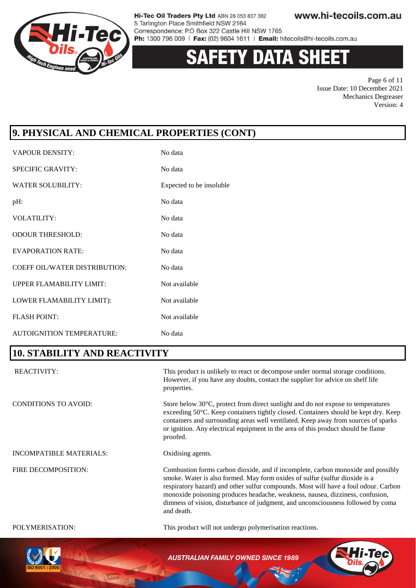

# **DATA SHEE**

Page 6 of 11 Issue Date: 10 December 2021 Mechanics Degreaser Version: 4

### **9. PHYSICAL AND CHEMICAL PROPERTIES (CONT)**

| <b>VAPOUR DENSITY:</b>               | No data                  |
|--------------------------------------|--------------------------|
| <b>SPECIFIC GRAVITY:</b>             | No data                  |
| <b>WATER SOLUBILITY:</b>             | Expected to be insoluble |
| pH:                                  | No data                  |
| <b>VOLATILITY:</b>                   | No data                  |
| <b>ODOUR THRESHOLD:</b>              | No data                  |
| <b>EVAPORATION RATE:</b>             | No data                  |
| <b>COEFF OIL/WATER DISTRIBUTION:</b> | No data                  |
| <b>UPPER FLAMABILITY LIMIT:</b>      | Not available            |
| LOWER FLAMABILITY LIMIT):            | Not available            |
| <b>FLASH POINT:</b>                  | Not available            |
| AUTOIGNITION TEMPERATURE:            | No data                  |

### **10. STABILITY AND REACTIVITY**

| <b>REACTIVITY:</b>             | This product is unlikely to react or decompose under normal storage conditions.<br>However, if you have any doubts, contact the supplier for advice on shelf life<br>properties.                                                                                                                                                                                                                                                          |
|--------------------------------|-------------------------------------------------------------------------------------------------------------------------------------------------------------------------------------------------------------------------------------------------------------------------------------------------------------------------------------------------------------------------------------------------------------------------------------------|
| <b>CONDITIONS TO AVOID:</b>    | Store below 30°C, protect from direct sunlight and do not expose to temperatures<br>exceeding 50°C. Keep containers tightly closed. Containers should be kept dry. Keep<br>containers and surrounding areas well ventilated. Keep away from sources of sparks<br>or ignition. Any electrical equipment in the area of this product should be flame<br>proofed.                                                                            |
| <b>INCOMPATIBLE MATERIALS:</b> | Oxidising agents.                                                                                                                                                                                                                                                                                                                                                                                                                         |
| FIRE DECOMPOSITION:            | Combustion forms carbon dioxide, and if incomplete, carbon monoxide and possibly<br>smoke. Water is also formed. May form oxides of sulfur (sulfur dioxide is a<br>respiratory hazard) and other sulfur compounds. Most will have a foul odour. Carbon<br>monoxide poisoning produces headache, weakness, nausea, dizziness, confusion,<br>dimness of vision, disturbance of judgment, and unconsciousness followed by coma<br>and death. |
| POLYMERISATION:                | This product will not undergo polymerisation reactions.                                                                                                                                                                                                                                                                                                                                                                                   |
|                                |                                                                                                                                                                                                                                                                                                                                                                                                                                           |

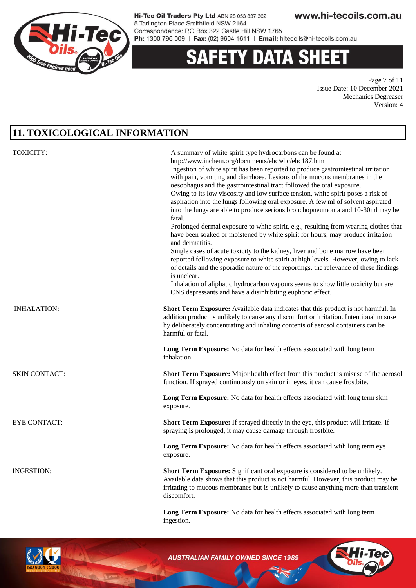

## **Y DATA SHEE**

Page 7 of 11 Issue Date: 10 December 2021 Mechanics Degreaser Version: 4

### **11. TOXICOLOGICAL INFORMATION**

| <b>TOXICITY:</b>     | A summary of white spirit type hydrocarbons can be found at<br>http://www.inchem.org/documents/ehc/ehc/ehc187.htm<br>Ingestion of white spirit has been reported to produce gastrointestinal irritation<br>with pain, vomiting and diarrhoea. Lesions of the mucous membranes in the<br>oesophagus and the gastrointestinal tract followed the oral exposure.<br>Owing to its low viscosity and low surface tension, white spirit poses a risk of<br>aspiration into the lungs following oral exposure. A few ml of solvent aspirated<br>into the lungs are able to produce serious bronchopneumonia and 10-30ml may be<br>fatal.<br>Prolonged dermal exposure to white spirit, e.g., resulting from wearing clothes that<br>have been soaked or moistened by white spirit for hours, may produce irritation<br>and dermatitis.<br>Single cases of acute toxicity to the kidney, liver and bone marrow have been<br>reported following exposure to white spirit at high levels. However, owing to lack<br>of details and the sporadic nature of the reportings, the relevance of these findings<br>is unclear.<br>Inhalation of aliphatic hydrocarbon vapours seems to show little toxicity but are<br>CNS depressants and have a disinhibiting euphoric effect. |
|----------------------|------------------------------------------------------------------------------------------------------------------------------------------------------------------------------------------------------------------------------------------------------------------------------------------------------------------------------------------------------------------------------------------------------------------------------------------------------------------------------------------------------------------------------------------------------------------------------------------------------------------------------------------------------------------------------------------------------------------------------------------------------------------------------------------------------------------------------------------------------------------------------------------------------------------------------------------------------------------------------------------------------------------------------------------------------------------------------------------------------------------------------------------------------------------------------------------------------------------------------------------------------------------|
| <b>INHALATION:</b>   | Short Term Exposure: Available data indicates that this product is not harmful. In<br>addition product is unlikely to cause any discomfort or irritation. Intentional misuse<br>by deliberately concentrating and inhaling contents of aerosol containers can be<br>harmful or fatal.                                                                                                                                                                                                                                                                                                                                                                                                                                                                                                                                                                                                                                                                                                                                                                                                                                                                                                                                                                            |
|                      | Long Term Exposure: No data for health effects associated with long term<br>inhalation.                                                                                                                                                                                                                                                                                                                                                                                                                                                                                                                                                                                                                                                                                                                                                                                                                                                                                                                                                                                                                                                                                                                                                                          |
| <b>SKIN CONTACT:</b> | <b>Short Term Exposure:</b> Major health effect from this product is misuse of the aerosol<br>function. If sprayed continuously on skin or in eyes, it can cause frostbite.                                                                                                                                                                                                                                                                                                                                                                                                                                                                                                                                                                                                                                                                                                                                                                                                                                                                                                                                                                                                                                                                                      |
|                      | Long Term Exposure: No data for health effects associated with long term skin<br>exposure.                                                                                                                                                                                                                                                                                                                                                                                                                                                                                                                                                                                                                                                                                                                                                                                                                                                                                                                                                                                                                                                                                                                                                                       |
| <b>EYE CONTACT:</b>  | Short Term Exposure: If sprayed directly in the eye, this product will irritate. If<br>spraying is prolonged, it may cause damage through frostbite.                                                                                                                                                                                                                                                                                                                                                                                                                                                                                                                                                                                                                                                                                                                                                                                                                                                                                                                                                                                                                                                                                                             |
|                      | Long Term Exposure: No data for health effects associated with long term eye<br>exposure.                                                                                                                                                                                                                                                                                                                                                                                                                                                                                                                                                                                                                                                                                                                                                                                                                                                                                                                                                                                                                                                                                                                                                                        |
| <b>INGESTION:</b>    | Short Term Exposure: Significant oral exposure is considered to be unlikely.<br>Available data shows that this product is not harmful. However, this product may be<br>irritating to mucous membranes but is unlikely to cause anything more than transient<br>discomfort.                                                                                                                                                                                                                                                                                                                                                                                                                                                                                                                                                                                                                                                                                                                                                                                                                                                                                                                                                                                       |
|                      | Long Term Exposure: No data for health effects associated with long term<br>ingestion.                                                                                                                                                                                                                                                                                                                                                                                                                                                                                                                                                                                                                                                                                                                                                                                                                                                                                                                                                                                                                                                                                                                                                                           |

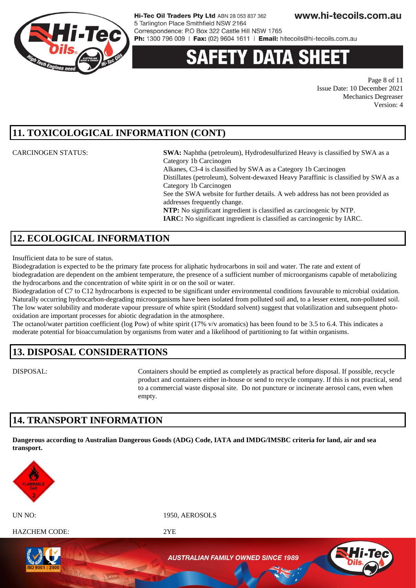

# ety data sh

Page 8 of 11 Issue Date: 10 December 2021 Mechanics Degreaser Version: 4

### **11. TOXICOLOGICAL INFORMATION (CONT)**

CARCINOGEN STATUS: **SWA:** Naphtha (petroleum), Hydrodesulfurized Heavy is classified by SWA as a Category 1b Carcinogen Alkanes, C3-4 is classified by SWA as a Category 1b Carcinogen Distillates (petroleum), Solvent-dewaxed Heavy Paraffinic is classified by SWA as a Category 1b Carcinogen

See the SWA website for further details. A web address has not been provided as addresses frequently change.

**NTP:** No significant ingredient is classified as carcinogenic by NTP. **IARC:** No significant ingredient is classified as carcinogenic by IARC.

### **12. ECOLOGICAL INFORMATION**

Insufficient data to be sure of status.

Biodegradation is expected to be the primary fate process for aliphatic hydrocarbons in soil and water. The rate and extent of biodegradation are dependent on the ambient temperature, the presence of a sufficient number of microorganisms capable of metabolizing the hydrocarbons and the concentration of white spirit in or on the soil or water.

Biodegradation of C7 to C12 hydrocarbons is expected to be significant under environmental conditions favourable to microbial oxidation. Naturally occurring hydrocarbon-degrading microorganisms have been isolated from polluted soil and, to a lesser extent, non-polluted soil. The low water solubility and moderate vapour pressure of white spirit (Stoddard solvent) suggest that volatilization and subsequent photooxidation are important processes for abiotic degradation in the atmosphere.

The octanol/water partition coefficient (log Pow) of white spirit (17% v/v aromatics) has been found to be 3.5 to 6.4. This indicates a moderate potential for bioaccumulation by organisms from water and a likelihood of partitioning to fat within organisms.

### **13. DISPOSAL CONSIDERATIONS**

DISPOSAL: Containers should be emptied as completely as practical before disposal. If possible, recycle product and containers either in-house or send to recycle company. If this is not practical, send to a commercial waste disposal site. Do not puncture or incinerate aerosol cans, even when empty.

#### **14. TRANSPORT INFORMATION**

**Dangerous according to Australian Dangerous Goods (ADG) Code, IATA and IMDG/IMSBC criteria for land, air and sea transport.** 



UN NO: 1950, AEROSOLS

HAZCHEM CODE: 2YE

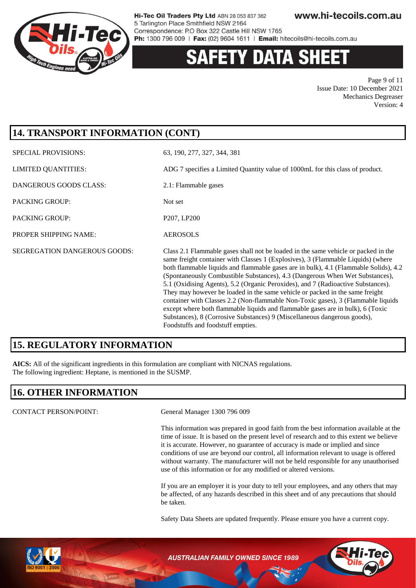

# **ETY DATA SH**

Page 9 of 11 Issue Date: 10 December 2021 Mechanics Degreaser Version: 4

### **14. TRANSPORT INFORMATION (CONT)**

SPECIAL PROVISIONS: 63, 190, 277, 327, 344, 381 LIMITED QUANTITIES: ADG 7 specifies a Limited Quantity value of 1000mL for this class of product. DANGEROUS GOODS CLASS: 2.1: Flammable gases PACKING GROUP: Not set PACKING GROUP: P207, LP200 PROPER SHIPPING NAME: AEROSOLS SEGREGATION DANGEROUS GOODS: Class 2.1 Flammable gases shall not be loaded in the same vehicle or packed in the same freight container with Classes 1 (Explosives), 3 (Flammable Liquids) (where both flammable liquids and flammable gases are in bulk), 4.1 (Flammable Solids), 4.2 (Spontaneously Combustible Substances), 4.3 (Dangerous When Wet Substances), 5.1 (Oxidising Agents), 5.2 (Organic Peroxides), and 7 (Radioactive Substances). They may however be loaded in the same vehicle or packed in the same freight container with Classes 2.2 (Non-flammable Non-Toxic gases), 3 (Flammable liquids except where both flammable liquids and flammable gases are in bulk), 6 (Toxic Substances), 8 (Corrosive Substances) 9 (Miscellaneous dangerous goods), Foodstuffs and foodstuff empties.

### **15. REGULATORY INFORMATION**

**AICS:** All of the significant ingredients in this formulation are compliant with NICNAS regulations. The following ingredient: Heptane, is mentioned in the SUSMP.

### **16. OTHER INFORMATION**

CONTACT PERSON/POINT: General Manager 1300 796 009

This information was prepared in good faith from the best information available at the time of issue. It is based on the present level of research and to this extent we believe it is accurate. However, no guarantee of accuracy is made or implied and since conditions of use are beyond our control, all information relevant to usage is offered without warranty. The manufacturer will not be held responsible for any unauthorised use of this information or for any modified or altered versions.

If you are an employer it is your duty to tell your employees, and any others that may be affected, of any hazards described in this sheet and of any precautions that should be taken.

Safety Data Sheets are updated frequently. Please ensure you have a current copy.